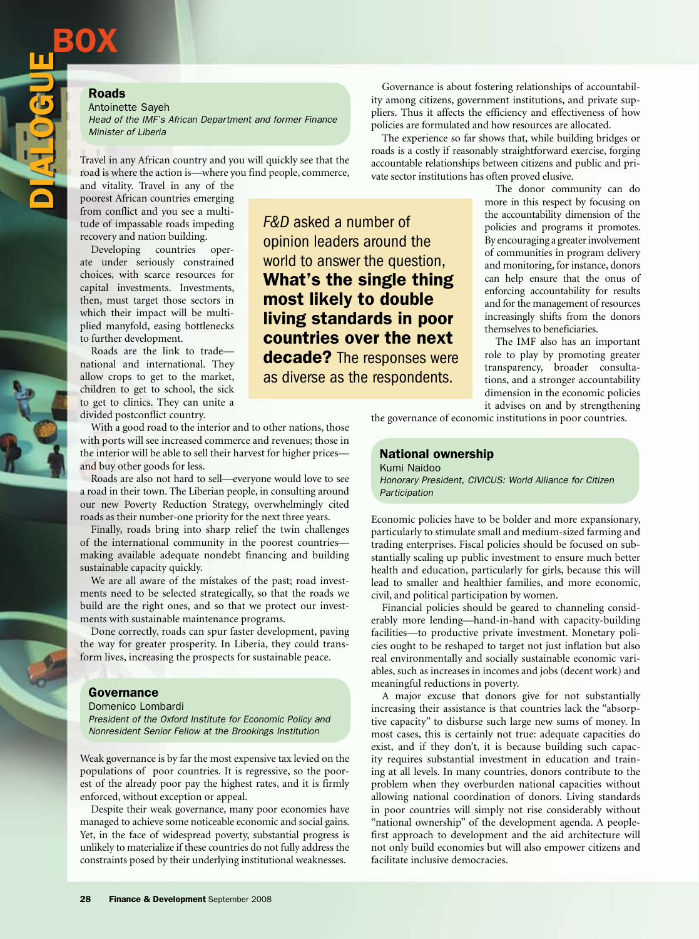# Roads

**BOX** 

DIALO

**GUE** 

Antoinette Sayeh

*Head of the IMF's African Department and former Finance Minister of Liberia*

Travel in any African country and you will quickly see that the road is where the action is—where you find people, commerce,

and vitality. Travel in any of the poorest African countries emerging from conflict and you see a multitude of impassable roads impeding recovery and nation building.

Developing countries operate under seriously constrained choices, with scarce resources for capital investments. Investments, then, must target those sectors in which their impact will be multiplied manyfold, easing bottlenecks to further development.

Roads are the link to trade national and international. They allow crops to get to the market, children to get to school, the sick to get to clinics. They can unite a divided postconflict country.

With a good road to the interior and to other nations, those with ports will see increased commerce and revenues; those in the interior will be able to sell their harvest for higher prices and buy other goods for less.

Roads are also not hard to sell—everyone would love to see a road in their town. The Liberian people, in consulting around our new Poverty Reduction Strategy, overwhelmingly cited roads as their number-one priority for the next three years.

Finally, roads bring into sharp relief the twin challenges of the international community in the poorest countries making available adequate nondebt financing and building sustainable capacity quickly.

We are all aware of the mistakes of the past; road investments need to be selected strategically, so that the roads we build are the right ones, and so that we protect our investments with sustainable maintenance programs.

Done correctly, roads can spur faster development, paving the way for greater prosperity. In Liberia, they could transform lives, increasing the prospects for sustainable peace.

### Governance

Domenico Lombardi

*President of the Oxford Institute for Economic Policy and Nonresident Senior Fellow at the Brookings Institution*

Weak governance is by far the most expensive tax levied on the populations of poor countries. It is regressive, so the poorest of the already poor pay the highest rates, and it is firmly enforced, without exception or appeal.

Despite their weak governance, many poor economies have managed to achieve some noticeable economic and social gains. Yet, in the face of widespread poverty, substantial progress is unlikely to materialize if these countries do not fully address the constraints posed by their underlying institutional weaknesses.

*F&D* asked a number of opinion leaders around the world to answer the question, What's the single thing most likely to double living standards in poor countries over the next decade? The responses were as diverse as the respondents.

Governance is about fostering relationships of accountability among citizens, government institutions, and private suppliers. Thus it affects the efficiency and effectiveness of how policies are formulated and how resources are allocated.

The experience so far shows that, while building bridges or roads is a costly if reasonably straightforward exercise, forging accountable relationships between citizens and public and private sector institutions has often proved elusive.

> The donor community can do more in this respect by focusing on the accountability dimension of the policies and programs it promotes. By encouraging a greater involvement of communities in program delivery and monitoring, for instance, donors can help ensure that the onus of enforcing accountability for results and for the management of resources increasingly shifts from the donors themselves to beneficiaries.

> The IMF also has an important role to play by promoting greater transparency, broader consultations, and a stronger accountability dimension in the economic policies it advises on and by strengthening

the governance of economic institutions in poor countries.

#### National ownership Kumi Naidoo

*Honorary President, CIVICUS: World Alliance for Citizen Participation*

Economic policies have to be bolder and more expansionary, particularly to stimulate small and medium-sized farming and trading enterprises. Fiscal policies should be focused on substantially scaling up public investment to ensure much better health and education, particularly for girls, because this will lead to smaller and healthier families, and more economic, civil, and political participation by women.

Financial policies should be geared to channeling considerably more lending—hand-in-hand with capacity-building facilities—to productive private investment. Monetary policies ought to be reshaped to target not just inflation but also real environmentally and socially sustainable economic variables, such as increases in incomes and jobs (decent work) and meaningful reductions in poverty.

A major excuse that donors give for not substantially increasing their assistance is that countries lack the "absorptive capacity" to disburse such large new sums of money. In most cases, this is certainly not true: adequate capacities do exist, and if they don't, it is because building such capacity requires substantial investment in education and training at all levels. In many countries, donors contribute to the problem when they overburden national capacities without allowing national coordination of donors. Living standards in poor countries will simply not rise considerably without "national ownership" of the development agenda. A peoplefirst approach to development and the aid architecture will not only build economies but will also empower citizens and facilitate inclusive democracies.